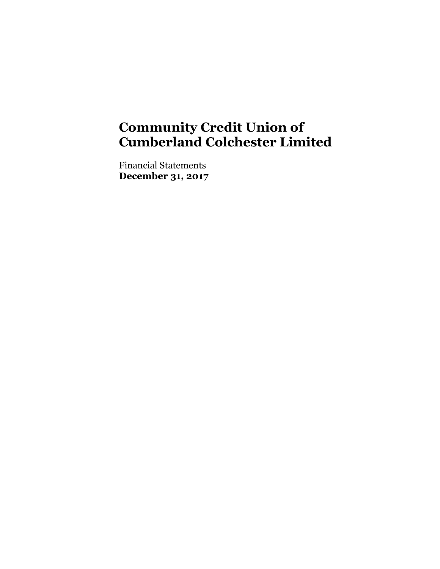Financial Statements **December 31, 2017**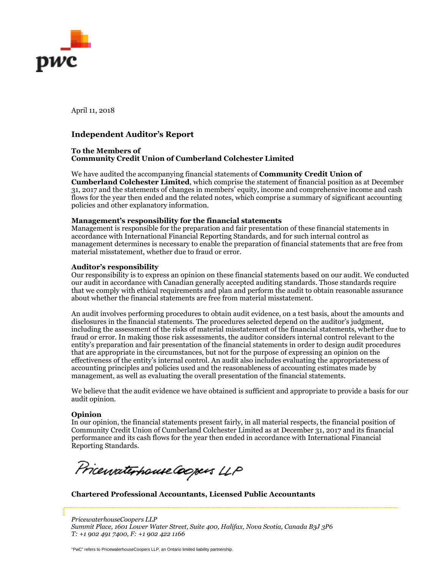

April 11, 2018

### **Independent Auditor's Report**

#### **To the Members of Community Credit Union of Cumberland Colchester Limited**

We have audited the accompanying financial statements of **Community Credit Union of Cumberland Colchester Limited**, which comprise the statement of financial position as at December 31, 2017 and the statements of changes in members' equity, income and comprehensive income and cash flows for the year then ended and the related notes, which comprise a summary of significant accounting policies and other explanatory information.

#### **Management's responsibility for the financial statements**

Management is responsible for the preparation and fair presentation of these financial statements in accordance with International Financial Reporting Standards, and for such internal control as management determines is necessary to enable the preparation of financial statements that are free from material misstatement, whether due to fraud or error.

#### **Auditor's responsibility**

Our responsibility is to express an opinion on these financial statements based on our audit. We conducted our audit in accordance with Canadian generally accepted auditing standards. Those standards require that we comply with ethical requirements and plan and perform the audit to obtain reasonable assurance about whether the financial statements are free from material misstatement.

An audit involves performing procedures to obtain audit evidence, on a test basis, about the amounts and disclosures in the financial statements. The procedures selected depend on the auditor's judgment, including the assessment of the risks of material misstatement of the financial statements, whether due to fraud or error. In making those risk assessments, the auditor considers internal control relevant to the entity's preparation and fair presentation of the financial statements in order to design audit procedures that are appropriate in the circumstances, but not for the purpose of expressing an opinion on the effectiveness of the entity's internal control. An audit also includes evaluating the appropriateness of accounting principles and policies used and the reasonableness of accounting estimates made by management, as well as evaluating the overall presentation of the financial statements.

We believe that the audit evidence we have obtained is sufficient and appropriate to provide a basis for our audit opinion.

#### **Opinion**

In our opinion, the financial statements present fairly, in all material respects, the financial position of Community Credit Union of Cumberland Colchester Limited as at December 31, 2017 and its financial performance and its cash flows for the year then ended in accordance with International Financial Reporting Standards.

Pricewaterhouse.Coopers LLP

**Chartered Professional Accountants, Licensed Public Accountants** 

*PricewaterhouseCoopers LLP Summit Place, 1601 Lower Water Street, Suite 400, Halifax, Nova Scotia, Canada B3J 3P6 T: +1 902 491 7400, F: +1 902 422 1166*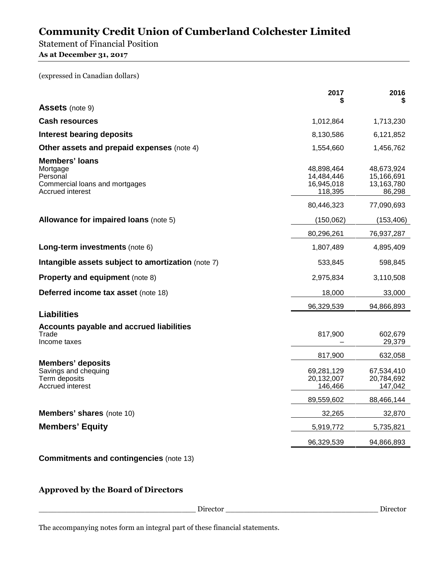Statement of Financial Position

**As at December 31, 2017** 

(expressed in Canadian dollars)

| <b>Assets</b> (note 9)<br><b>Cash resources</b><br>1,012,864<br>1,713,230<br><b>Interest bearing deposits</b><br>6,121,852<br>8,130,586<br>Other assets and prepaid expenses (note 4)<br>1,554,660<br>1,456,762<br><b>Members' loans</b><br>Mortgage<br>48,898,464<br>48,673,924<br>14,484,446<br>15,166,691<br>Personal<br>13,163,780<br>Commercial loans and mortgages<br>16,945,018<br>Accrued interest<br>118,395<br>86,298<br>80,446,323<br>77,090,693<br><b>Allowance for impaired loans (note 5)</b><br>(150,062)<br>(153, 406)<br>80,296,261<br>76,937,287<br>Long-term investments (note 6)<br>1,807,489<br>4,895,409<br>Intangible assets subject to amortization (note 7)<br>533,845<br>598,845<br><b>Property and equipment (note 8)</b><br>2,975,834<br>3,110,508<br>Deferred income tax asset (note 18)<br>18,000<br>33,000<br>96,329,539<br>94,866,893<br><b>Liabilities</b><br><b>Accounts payable and accrued liabilities</b><br>Trade<br>817,900<br>602,679<br>29,379<br>Income taxes<br>817,900<br>632,058<br><b>Members' deposits</b><br>Savings and chequing<br>69,281,129<br>67,534,410<br>Term deposits<br>20,132,007<br>20,784,692<br>Accrued interest<br>146,466<br>147,042<br>89,559,602<br>88,466,144<br><b>Members' shares (note 10)</b><br>32,265<br>32,870<br><b>Members' Equity</b><br>5,919,772<br>5,735,821<br>96,329,539<br>94,866,893 | 2017<br>S | 2016 |
|--------------------------------------------------------------------------------------------------------------------------------------------------------------------------------------------------------------------------------------------------------------------------------------------------------------------------------------------------------------------------------------------------------------------------------------------------------------------------------------------------------------------------------------------------------------------------------------------------------------------------------------------------------------------------------------------------------------------------------------------------------------------------------------------------------------------------------------------------------------------------------------------------------------------------------------------------------------------------------------------------------------------------------------------------------------------------------------------------------------------------------------------------------------------------------------------------------------------------------------------------------------------------------------------------------------------------------------------------------------------------|-----------|------|
|                                                                                                                                                                                                                                                                                                                                                                                                                                                                                                                                                                                                                                                                                                                                                                                                                                                                                                                                                                                                                                                                                                                                                                                                                                                                                                                                                                          |           |      |
|                                                                                                                                                                                                                                                                                                                                                                                                                                                                                                                                                                                                                                                                                                                                                                                                                                                                                                                                                                                                                                                                                                                                                                                                                                                                                                                                                                          |           |      |
|                                                                                                                                                                                                                                                                                                                                                                                                                                                                                                                                                                                                                                                                                                                                                                                                                                                                                                                                                                                                                                                                                                                                                                                                                                                                                                                                                                          |           |      |
|                                                                                                                                                                                                                                                                                                                                                                                                                                                                                                                                                                                                                                                                                                                                                                                                                                                                                                                                                                                                                                                                                                                                                                                                                                                                                                                                                                          |           |      |
|                                                                                                                                                                                                                                                                                                                                                                                                                                                                                                                                                                                                                                                                                                                                                                                                                                                                                                                                                                                                                                                                                                                                                                                                                                                                                                                                                                          |           |      |
|                                                                                                                                                                                                                                                                                                                                                                                                                                                                                                                                                                                                                                                                                                                                                                                                                                                                                                                                                                                                                                                                                                                                                                                                                                                                                                                                                                          |           |      |
|                                                                                                                                                                                                                                                                                                                                                                                                                                                                                                                                                                                                                                                                                                                                                                                                                                                                                                                                                                                                                                                                                                                                                                                                                                                                                                                                                                          |           |      |
|                                                                                                                                                                                                                                                                                                                                                                                                                                                                                                                                                                                                                                                                                                                                                                                                                                                                                                                                                                                                                                                                                                                                                                                                                                                                                                                                                                          |           |      |
|                                                                                                                                                                                                                                                                                                                                                                                                                                                                                                                                                                                                                                                                                                                                                                                                                                                                                                                                                                                                                                                                                                                                                                                                                                                                                                                                                                          |           |      |
|                                                                                                                                                                                                                                                                                                                                                                                                                                                                                                                                                                                                                                                                                                                                                                                                                                                                                                                                                                                                                                                                                                                                                                                                                                                                                                                                                                          |           |      |
|                                                                                                                                                                                                                                                                                                                                                                                                                                                                                                                                                                                                                                                                                                                                                                                                                                                                                                                                                                                                                                                                                                                                                                                                                                                                                                                                                                          |           |      |
|                                                                                                                                                                                                                                                                                                                                                                                                                                                                                                                                                                                                                                                                                                                                                                                                                                                                                                                                                                                                                                                                                                                                                                                                                                                                                                                                                                          |           |      |
|                                                                                                                                                                                                                                                                                                                                                                                                                                                                                                                                                                                                                                                                                                                                                                                                                                                                                                                                                                                                                                                                                                                                                                                                                                                                                                                                                                          |           |      |
|                                                                                                                                                                                                                                                                                                                                                                                                                                                                                                                                                                                                                                                                                                                                                                                                                                                                                                                                                                                                                                                                                                                                                                                                                                                                                                                                                                          |           |      |
|                                                                                                                                                                                                                                                                                                                                                                                                                                                                                                                                                                                                                                                                                                                                                                                                                                                                                                                                                                                                                                                                                                                                                                                                                                                                                                                                                                          |           |      |
|                                                                                                                                                                                                                                                                                                                                                                                                                                                                                                                                                                                                                                                                                                                                                                                                                                                                                                                                                                                                                                                                                                                                                                                                                                                                                                                                                                          |           |      |
|                                                                                                                                                                                                                                                                                                                                                                                                                                                                                                                                                                                                                                                                                                                                                                                                                                                                                                                                                                                                                                                                                                                                                                                                                                                                                                                                                                          |           |      |
|                                                                                                                                                                                                                                                                                                                                                                                                                                                                                                                                                                                                                                                                                                                                                                                                                                                                                                                                                                                                                                                                                                                                                                                                                                                                                                                                                                          |           |      |
|                                                                                                                                                                                                                                                                                                                                                                                                                                                                                                                                                                                                                                                                                                                                                                                                                                                                                                                                                                                                                                                                                                                                                                                                                                                                                                                                                                          |           |      |
|                                                                                                                                                                                                                                                                                                                                                                                                                                                                                                                                                                                                                                                                                                                                                                                                                                                                                                                                                                                                                                                                                                                                                                                                                                                                                                                                                                          |           |      |

**Commitments and contingencies** (note 13)

# **Approved by the Board of Directors**

\_\_\_\_\_\_\_\_\_\_\_\_\_\_\_\_\_\_\_\_\_\_\_\_\_\_\_\_\_\_\_\_\_\_ Director \_\_\_\_\_\_\_\_\_\_\_\_\_\_\_\_\_\_\_\_\_\_\_\_\_\_\_\_\_\_\_\_\_ Director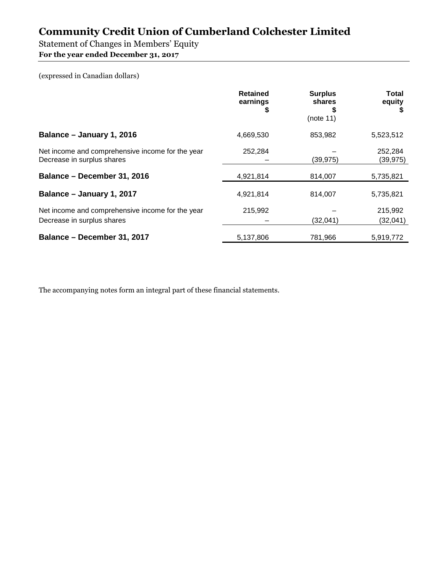Statement of Changes in Members' Equity

**For the year ended December 31, 2017** 

(expressed in Canadian dollars)

|                                                                                | <b>Retained</b><br>earnings<br>\$ | <b>Surplus</b><br>shares<br>(note 11) | <b>Total</b><br>equity |
|--------------------------------------------------------------------------------|-----------------------------------|---------------------------------------|------------------------|
| Balance - January 1, 2016                                                      | 4,669,530                         | 853,982                               | 5,523,512              |
| Net income and comprehensive income for the year<br>Decrease in surplus shares | 252,284                           | (39, 975)                             | 252.284<br>(39, 975)   |
| Balance - December 31, 2016                                                    | 4,921,814                         | 814,007                               | 5,735,821              |
| Balance - January 1, 2017                                                      | 4,921,814                         | 814,007                               | 5,735,821              |
| Net income and comprehensive income for the year<br>Decrease in surplus shares | 215,992                           | (32,041)                              | 215,992<br>(32,041)    |
| Balance - December 31, 2017                                                    | 5,137,806                         | 781,966                               | 5,919,772              |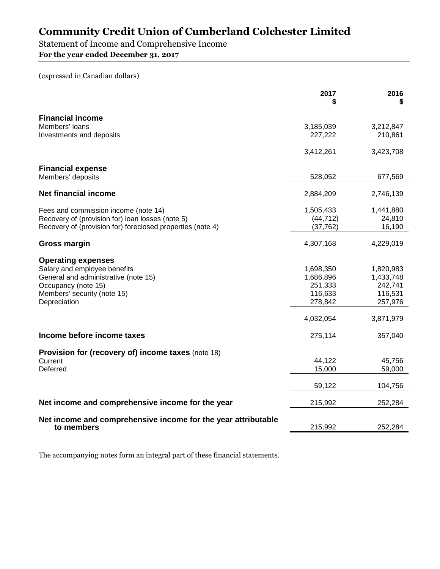Statement of Income and Comprehensive Income

**For the year ended December 31, 2017** 

(expressed in Canadian dollars)

|                                                               | 2017<br>S        | 2016<br>S        |
|---------------------------------------------------------------|------------------|------------------|
| <b>Financial income</b>                                       |                  |                  |
| Members' loans                                                | 3,185,039        | 3,212,847        |
| Investments and deposits                                      | 227,222          | 210,861          |
|                                                               | 3,412,261        | 3,423,708        |
| <b>Financial expense</b>                                      |                  |                  |
| Members' deposits                                             | 528,052          | 677,569          |
| <b>Net financial income</b>                                   | 2,884,209        | 2,746,139        |
| Fees and commission income (note 14)                          | 1,505,433        | 1,441,880        |
| Recovery of (provision for) loan losses (note 5)              | (44, 712)        | 24,810           |
| Recovery of (provision for) foreclosed properties (note 4)    | (37, 762)        | 16,190           |
| Gross margin                                                  | 4,307,168        | 4,229,019        |
|                                                               |                  |                  |
| <b>Operating expenses</b><br>Salary and employee benefits     | 1,698,350        | 1,820,983        |
| General and administrative (note 15)                          | 1,686,896        | 1,433,748        |
| Occupancy (note 15)                                           | 251,333          | 242,741          |
| Members' security (note 15)                                   | 116,633          | 116,531          |
| Depreciation                                                  | 278,842          | 257,976          |
|                                                               | 4,032,054        | 3,871,979        |
| Income before income taxes                                    | 275,114          | 357,040          |
|                                                               |                  |                  |
| Provision for (recovery of) income taxes (note 18)            |                  |                  |
| Current<br>Deferred                                           | 44,122<br>15,000 | 45,756<br>59,000 |
|                                                               |                  |                  |
|                                                               | 59,122           | 104,756          |
| Net income and comprehensive income for the year              | 215,992          | 252,284          |
| Net income and comprehensive income for the year attributable |                  |                  |
| to members                                                    | 215,992          | 252,284          |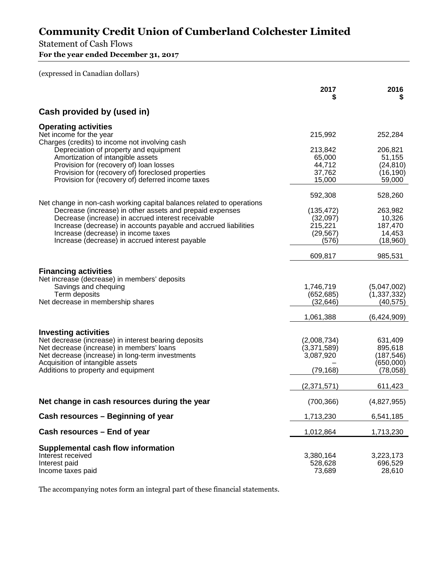# Statement of Cash Flows

**For the year ended December 31, 2017** 

(expressed in Canadian dollars)

|                                                                                                                                                                                                                                                                                                                                                      | 2017                                                    | 2016<br>S                                                 |
|------------------------------------------------------------------------------------------------------------------------------------------------------------------------------------------------------------------------------------------------------------------------------------------------------------------------------------------------------|---------------------------------------------------------|-----------------------------------------------------------|
| Cash provided by (used in)                                                                                                                                                                                                                                                                                                                           |                                                         |                                                           |
| <b>Operating activities</b><br>Net income for the year                                                                                                                                                                                                                                                                                               | 215,992                                                 | 252,284                                                   |
| Charges (credits) to income not involving cash<br>Depreciation of property and equipment<br>Amortization of intangible assets<br>Provision for (recovery of) loan losses<br>Provision for (recovery of) foreclosed properties<br>Provision for (recovery of) deferred income taxes                                                                   | 213,842<br>65,000<br>44,712<br>37,762<br>15,000         | 206,821<br>51,155<br>(24, 810)<br>(16, 190)<br>59,000     |
|                                                                                                                                                                                                                                                                                                                                                      | 592,308                                                 | 528,260                                                   |
| Net change in non-cash working capital balances related to operations<br>Decrease (increase) in other assets and prepaid expenses<br>Decrease (increase) in accrued interest receivable<br>Increase (decrease) in accounts payable and accrued liabilities<br>Increase (decrease) in income taxes<br>Increase (decrease) in accrued interest payable | (135, 472)<br>(32,097)<br>215,221<br>(29, 567)<br>(576) | 263,982<br>10,326<br>187,470<br>14,453<br>(18,960)        |
|                                                                                                                                                                                                                                                                                                                                                      | 609,817                                                 | 985,531                                                   |
| <b>Financing activities</b><br>Net increase (decrease) in members' deposits<br>Savings and chequing<br>Term deposits<br>Net decrease in membership shares                                                                                                                                                                                            | 1,746,719<br>(652, 685)<br>(32, 646)                    | (5,047,002)<br>(1, 337, 332)<br>(40, 575)                 |
|                                                                                                                                                                                                                                                                                                                                                      | 1,061,388                                               | (6,424,909)                                               |
| <b>Investing activities</b><br>Net decrease (increase) in interest bearing deposits<br>Net decrease (increase) in members' loans<br>Net decrease (increase) in long-term investments<br>Acquisition of intangible assets<br>Additions to property and equipment                                                                                      | (2,008,734)<br>(3,371,589)<br>3,087,920<br>(79, 168)    | 631,409<br>895,618<br>(187, 546)<br>(650,000)<br>(78,058) |
|                                                                                                                                                                                                                                                                                                                                                      | (2,371,571)                                             | 611,423                                                   |
| Net change in cash resources during the year                                                                                                                                                                                                                                                                                                         | (700, 366)                                              | (4,827,955)                                               |
| Cash resources - Beginning of year                                                                                                                                                                                                                                                                                                                   | 1,713,230                                               | 6,541,185                                                 |
| Cash resources – End of year                                                                                                                                                                                                                                                                                                                         | 1,012,864                                               | 1,713,230                                                 |
| Supplemental cash flow information<br>Interest received<br>Interest paid<br>Income taxes paid                                                                                                                                                                                                                                                        | 3,380,164<br>528,628<br>73,689                          | 3,223,173<br>696,529<br>28,610                            |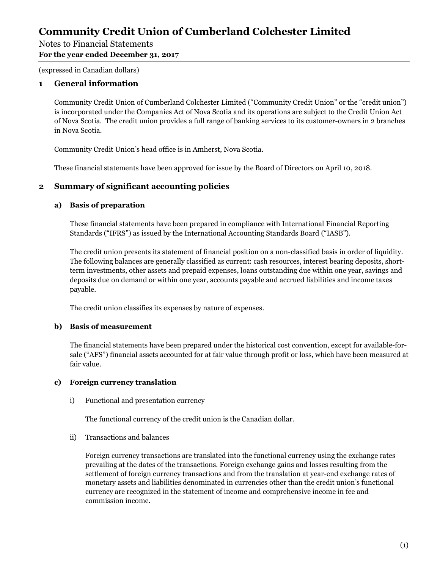### Notes to Financial Statements **For the year ended December 31, 2017**

(expressed in Canadian dollars)

# **1 General information**

Community Credit Union of Cumberland Colchester Limited ("Community Credit Union" or the "credit union") is incorporated under the Companies Act of Nova Scotia and its operations are subject to the Credit Union Act of Nova Scotia. The credit union provides a full range of banking services to its customer-owners in 2 branches in Nova Scotia.

Community Credit Union's head office is in Amherst, Nova Scotia.

These financial statements have been approved for issue by the Board of Directors on April 10, 2018.

# **2 Summary of significant accounting policies**

### **a) Basis of preparation**

These financial statements have been prepared in compliance with International Financial Reporting Standards ("IFRS") as issued by the International Accounting Standards Board ("IASB").

The credit union presents its statement of financial position on a non-classified basis in order of liquidity. The following balances are generally classified as current: cash resources, interest bearing deposits, shortterm investments, other assets and prepaid expenses, loans outstanding due within one year, savings and deposits due on demand or within one year, accounts payable and accrued liabilities and income taxes payable.

The credit union classifies its expenses by nature of expenses.

#### **b) Basis of measurement**

The financial statements have been prepared under the historical cost convention, except for available-forsale ("AFS") financial assets accounted for at fair value through profit or loss, which have been measured at fair value.

#### **c) Foreign currency translation**

i) Functional and presentation currency

The functional currency of the credit union is the Canadian dollar.

ii) Transactions and balances

Foreign currency transactions are translated into the functional currency using the exchange rates prevailing at the dates of the transactions. Foreign exchange gains and losses resulting from the settlement of foreign currency transactions and from the translation at year-end exchange rates of monetary assets and liabilities denominated in currencies other than the credit union's functional currency are recognized in the statement of income and comprehensive income in fee and commission income.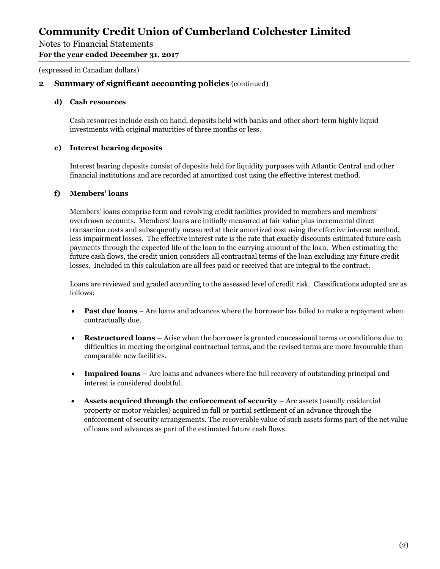Notes to Financial Statements

**For the year ended December 31, 2017** 

(expressed in Canadian dollars)

### **2 Summary of significant accounting policies** (continued)

#### **d) Cash resources**

Cash resources include cash on hand, deposits held with banks and other short-term highly liquid investments with original maturities of three months or less.

#### **e) Interest bearing deposits**

Interest bearing deposits consist of deposits held for liquidity purposes with Atlantic Central and other financial institutions and are recorded at amortized cost using the effective interest method.

#### **f) Members' loans**

Members' loans comprise term and revolving credit facilities provided to members and members' overdrawn accounts. Members' loans are initially measured at fair value plus incremental direct transaction costs and subsequently measured at their amortized cost using the effective interest method, less impairment losses. The effective interest rate is the rate that exactly discounts estimated future cash payments through the expected life of the loan to the carrying amount of the loan. When estimating the future cash flows, the credit union considers all contractual terms of the loan excluding any future credit losses. Included in this calculation are all fees paid or received that are integral to the contract.

Loans are reviewed and graded according to the assessed level of credit risk. Classifications adopted are as follows:

- **Past due loans** Are loans and advances where the borrower has failed to make a repayment when contractually due.
- **Restructured loans** Arise when the borrower is granted concessional terms or conditions due to difficulties in meeting the original contractual terms, and the revised terms are more favourable than comparable new facilities.
- **Impaired loans** Are loans and advances where the full recovery of outstanding principal and interest is considered doubtful.
- **Assets acquired through the enforcement of security** Are assets (usually residential property or motor vehicles) acquired in full or partial settlement of an advance through the enforcement of security arrangements. The recoverable value of such assets forms part of the net value of loans and advances as part of the estimated future cash flows.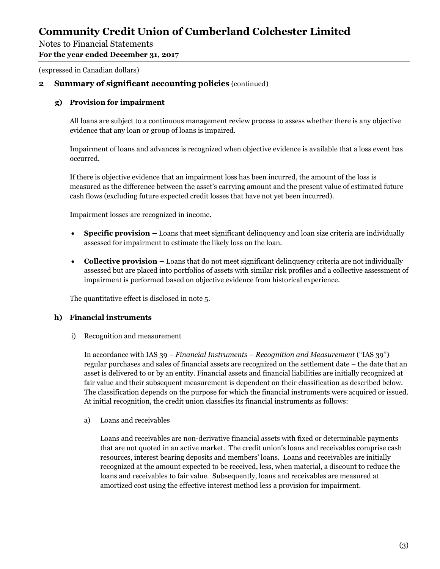Notes to Financial Statements

**For the year ended December 31, 2017** 

(expressed in Canadian dollars)

# **2 Summary of significant accounting policies** (continued)

### **g) Provision for impairment**

All loans are subject to a continuous management review process to assess whether there is any objective evidence that any loan or group of loans is impaired.

Impairment of loans and advances is recognized when objective evidence is available that a loss event has occurred.

If there is objective evidence that an impairment loss has been incurred, the amount of the loss is measured as the difference between the asset's carrying amount and the present value of estimated future cash flows (excluding future expected credit losses that have not yet been incurred).

Impairment losses are recognized in income.

- **Specific provision** Loans that meet significant delinquency and loan size criteria are individually assessed for impairment to estimate the likely loss on the loan.
- **Collective provision** Loans that do not meet significant delinquency criteria are not individually assessed but are placed into portfolios of assets with similar risk profiles and a collective assessment of impairment is performed based on objective evidence from historical experience.

The quantitative effect is disclosed in note 5.

### **h) Financial instruments**

i) Recognition and measurement

In accordance with IAS 39 – *Financial Instruments – Recognition and Measurement* ("IAS 39") regular purchases and sales of financial assets are recognized on the settlement date – the date that an asset is delivered to or by an entity. Financial assets and financial liabilities are initially recognized at fair value and their subsequent measurement is dependent on their classification as described below. The classification depends on the purpose for which the financial instruments were acquired or issued. At initial recognition, the credit union classifies its financial instruments as follows:

a) Loans and receivables

Loans and receivables are non-derivative financial assets with fixed or determinable payments that are not quoted in an active market. The credit union's loans and receivables comprise cash resources, interest bearing deposits and members' loans. Loans and receivables are initially recognized at the amount expected to be received, less, when material, a discount to reduce the loans and receivables to fair value. Subsequently, loans and receivables are measured at amortized cost using the effective interest method less a provision for impairment.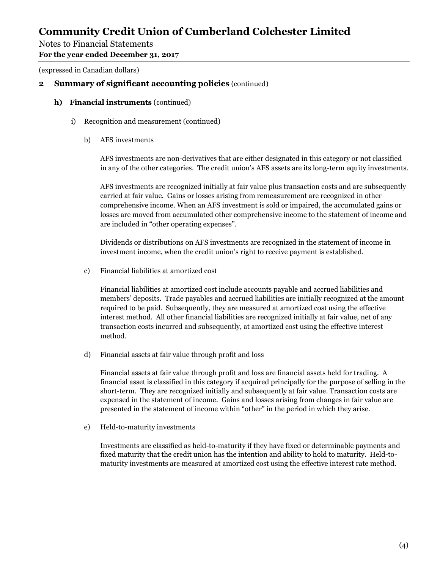Notes to Financial Statements

**For the year ended December 31, 2017** 

(expressed in Canadian dollars)

### **2 Summary of significant accounting policies** (continued)

- **h) Financial instruments** (continued)
	- i) Recognition and measurement (continued)
		- b) AFS investments

AFS investments are non-derivatives that are either designated in this category or not classified in any of the other categories. The credit union's AFS assets are its long-term equity investments.

AFS investments are recognized initially at fair value plus transaction costs and are subsequently carried at fair value. Gains or losses arising from remeasurement are recognized in other comprehensive income. When an AFS investment is sold or impaired, the accumulated gains or losses are moved from accumulated other comprehensive income to the statement of income and are included in "other operating expenses".

Dividends or distributions on AFS investments are recognized in the statement of income in investment income, when the credit union's right to receive payment is established.

c) Financial liabilities at amortized cost

Financial liabilities at amortized cost include accounts payable and accrued liabilities and members' deposits. Trade payables and accrued liabilities are initially recognized at the amount required to be paid. Subsequently, they are measured at amortized cost using the effective interest method. All other financial liabilities are recognized initially at fair value, net of any transaction costs incurred and subsequently, at amortized cost using the effective interest method.

d) Financial assets at fair value through profit and loss

Financial assets at fair value through profit and loss are financial assets held for trading. A financial asset is classified in this category if acquired principally for the purpose of selling in the short-term. They are recognized initially and subsequently at fair value. Transaction costs are expensed in the statement of income. Gains and losses arising from changes in fair value are presented in the statement of income within "other" in the period in which they arise.

e) Held-to-maturity investments

Investments are classified as held-to-maturity if they have fixed or determinable payments and fixed maturity that the credit union has the intention and ability to hold to maturity. Held-tomaturity investments are measured at amortized cost using the effective interest rate method.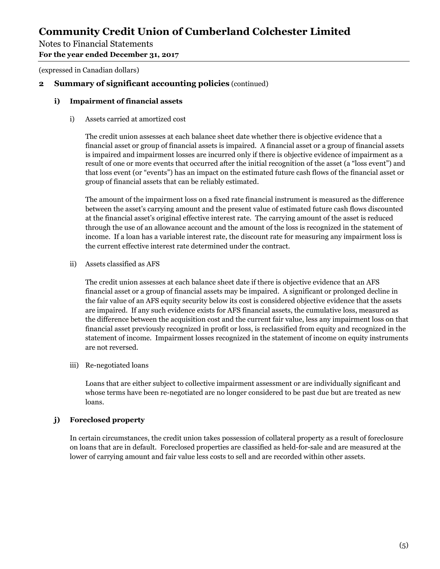## Notes to Financial Statements

#### **For the year ended December 31, 2017**

(expressed in Canadian dollars)

### **2 Summary of significant accounting policies** (continued)

#### **i) Impairment of financial assets**

#### i) Assets carried at amortized cost

The credit union assesses at each balance sheet date whether there is objective evidence that a financial asset or group of financial assets is impaired. A financial asset or a group of financial assets is impaired and impairment losses are incurred only if there is objective evidence of impairment as a result of one or more events that occurred after the initial recognition of the asset (a "loss event") and that loss event (or "events") has an impact on the estimated future cash flows of the financial asset or group of financial assets that can be reliably estimated.

The amount of the impairment loss on a fixed rate financial instrument is measured as the difference between the asset's carrying amount and the present value of estimated future cash flows discounted at the financial asset's original effective interest rate. The carrying amount of the asset is reduced through the use of an allowance account and the amount of the loss is recognized in the statement of income. If a loan has a variable interest rate, the discount rate for measuring any impairment loss is the current effective interest rate determined under the contract.

ii) Assets classified as AFS

The credit union assesses at each balance sheet date if there is objective evidence that an AFS financial asset or a group of financial assets may be impaired. A significant or prolonged decline in the fair value of an AFS equity security below its cost is considered objective evidence that the assets are impaired. If any such evidence exists for AFS financial assets, the cumulative loss, measured as the difference between the acquisition cost and the current fair value, less any impairment loss on that financial asset previously recognized in profit or loss, is reclassified from equity and recognized in the statement of income. Impairment losses recognized in the statement of income on equity instruments are not reversed.

#### iii) Re-negotiated loans

Loans that are either subject to collective impairment assessment or are individually significant and whose terms have been re-negotiated are no longer considered to be past due but are treated as new loans.

#### **j) Foreclosed property**

In certain circumstances, the credit union takes possession of collateral property as a result of foreclosure on loans that are in default. Foreclosed properties are classified as held-for-sale and are measured at the lower of carrying amount and fair value less costs to sell and are recorded within other assets.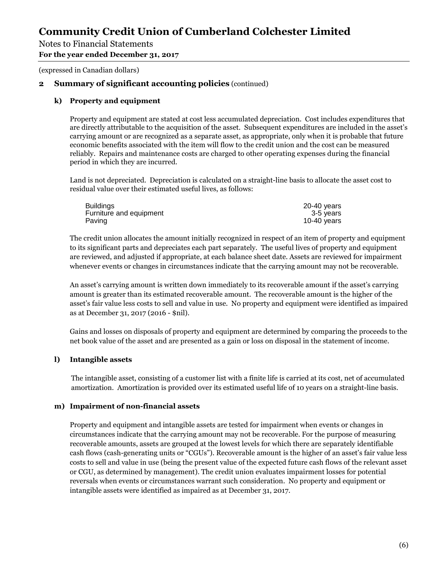Notes to Financial Statements

#### **For the year ended December 31, 2017**

(expressed in Canadian dollars)

### **2 Summary of significant accounting policies** (continued)

#### **k) Property and equipment**

Property and equipment are stated at cost less accumulated depreciation. Cost includes expenditures that are directly attributable to the acquisition of the asset. Subsequent expenditures are included in the asset's carrying amount or are recognized as a separate asset, as appropriate, only when it is probable that future economic benefits associated with the item will flow to the credit union and the cost can be measured reliably. Repairs and maintenance costs are charged to other operating expenses during the financial period in which they are incurred.

Land is not depreciated. Depreciation is calculated on a straight-line basis to allocate the asset cost to residual value over their estimated useful lives, as follows:

| <b>Buildings</b>        | $20-40$ years |
|-------------------------|---------------|
| Furniture and equipment | 3-5 years     |
| Paving                  | 10-40 $years$ |

The credit union allocates the amount initially recognized in respect of an item of property and equipment to its significant parts and depreciates each part separately. The useful lives of property and equipment are reviewed, and adjusted if appropriate, at each balance sheet date. Assets are reviewed for impairment whenever events or changes in circumstances indicate that the carrying amount may not be recoverable.

An asset's carrying amount is written down immediately to its recoverable amount if the asset's carrying amount is greater than its estimated recoverable amount. The recoverable amount is the higher of the asset's fair value less costs to sell and value in use. No property and equipment were identified as impaired as at December 31, 2017 (2016 - \$nil).

Gains and losses on disposals of property and equipment are determined by comparing the proceeds to the net book value of the asset and are presented as a gain or loss on disposal in the statement of income.

#### **l) Intangible assets**

The intangible asset, consisting of a customer list with a finite life is carried at its cost, net of accumulated amortization. Amortization is provided over its estimated useful life of 10 years on a straight-line basis.

#### **m) Impairment of non-financial assets**

Property and equipment and intangible assets are tested for impairment when events or changes in circumstances indicate that the carrying amount may not be recoverable. For the purpose of measuring recoverable amounts, assets are grouped at the lowest levels for which there are separately identifiable cash flows (cash-generating units or "CGUs"). Recoverable amount is the higher of an asset's fair value less costs to sell and value in use (being the present value of the expected future cash flows of the relevant asset or CGU, as determined by management). The credit union evaluates impairment losses for potential reversals when events or circumstances warrant such consideration. No property and equipment or intangible assets were identified as impaired as at December 31, 2017.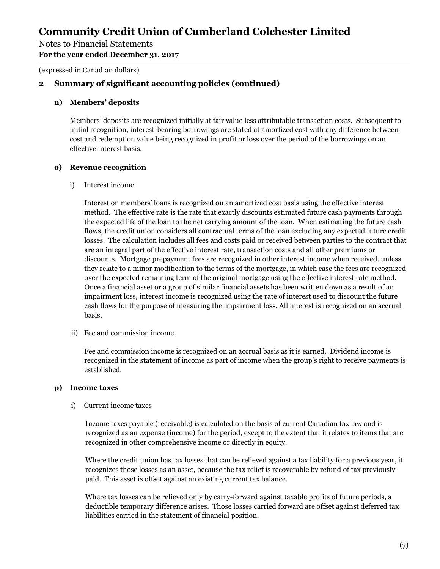Notes to Financial Statements

**For the year ended December 31, 2017** 

(expressed in Canadian dollars)

# **2 Summary of significant accounting policies (continued)**

#### **n) Members' deposits**

Members' deposits are recognized initially at fair value less attributable transaction costs. Subsequent to initial recognition, interest-bearing borrowings are stated at amortized cost with any difference between cost and redemption value being recognized in profit or loss over the period of the borrowings on an effective interest basis.

#### **o) Revenue recognition**

i) Interest income

Interest on members' loans is recognized on an amortized cost basis using the effective interest method. The effective rate is the rate that exactly discounts estimated future cash payments through the expected life of the loan to the net carrying amount of the loan. When estimating the future cash flows, the credit union considers all contractual terms of the loan excluding any expected future credit losses. The calculation includes all fees and costs paid or received between parties to the contract that are an integral part of the effective interest rate, transaction costs and all other premiums or discounts. Mortgage prepayment fees are recognized in other interest income when received, unless they relate to a minor modification to the terms of the mortgage, in which case the fees are recognized over the expected remaining term of the original mortgage using the effective interest rate method. Once a financial asset or a group of similar financial assets has been written down as a result of an impairment loss, interest income is recognized using the rate of interest used to discount the future cash flows for the purpose of measuring the impairment loss. All interest is recognized on an accrual basis.

ii) Fee and commission income

Fee and commission income is recognized on an accrual basis as it is earned. Dividend income is recognized in the statement of income as part of income when the group's right to receive payments is established.

#### **p) Income taxes**

#### i) Current income taxes

Income taxes payable (receivable) is calculated on the basis of current Canadian tax law and is recognized as an expense (income) for the period, except to the extent that it relates to items that are recognized in other comprehensive income or directly in equity.

Where the credit union has tax losses that can be relieved against a tax liability for a previous year, it recognizes those losses as an asset, because the tax relief is recoverable by refund of tax previously paid. This asset is offset against an existing current tax balance.

Where tax losses can be relieved only by carry-forward against taxable profits of future periods, a deductible temporary difference arises. Those losses carried forward are offset against deferred tax liabilities carried in the statement of financial position.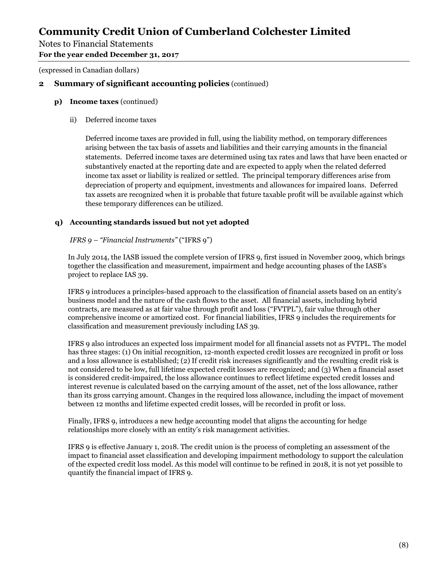# Notes to Financial Statements

**For the year ended December 31, 2017** 

(expressed in Canadian dollars)

## **2 Summary of significant accounting policies** (continued)

- **p) Income taxes** (continued)
	- ii) Deferred income taxes

Deferred income taxes are provided in full, using the liability method, on temporary differences arising between the tax basis of assets and liabilities and their carrying amounts in the financial statements. Deferred income taxes are determined using tax rates and laws that have been enacted or substantively enacted at the reporting date and are expected to apply when the related deferred income tax asset or liability is realized or settled. The principal temporary differences arise from depreciation of property and equipment, investments and allowances for impaired loans. Deferred tax assets are recognized when it is probable that future taxable profit will be available against which these temporary differences can be utilized.

#### **q) Accounting standards issued but not yet adopted**

#### *IFRS 9 – "Financial Instruments"* ("IFRS 9")

In July 2014, the IASB issued the complete version of IFRS 9, first issued in November 2009, which brings together the classification and measurement, impairment and hedge accounting phases of the IASB's project to replace IAS 39.

IFRS 9 introduces a principles-based approach to the classification of financial assets based on an entity's business model and the nature of the cash flows to the asset. All financial assets, including hybrid contracts, are measured as at fair value through profit and loss ("FVTPL"), fair value through other comprehensive income or amortized cost. For financial liabilities, IFRS 9 includes the requirements for classification and measurement previously including IAS 39.

IFRS 9 also introduces an expected loss impairment model for all financial assets not as FVTPL. The model has three stages: (1) On initial recognition, 12-month expected credit losses are recognized in profit or loss and a loss allowance is established; (2) If credit risk increases significantly and the resulting credit risk is not considered to be low, full lifetime expected credit losses are recognized; and (3) When a financial asset is considered credit-impaired, the loss allowance continues to reflect lifetime expected credit losses and interest revenue is calculated based on the carrying amount of the asset, net of the loss allowance, rather than its gross carrying amount. Changes in the required loss allowance, including the impact of movement between 12 months and lifetime expected credit losses, will be recorded in profit or loss.

Finally, IFRS 9, introduces a new hedge accounting model that aligns the accounting for hedge relationships more closely with an entity's risk management activities.

IFRS 9 is effective January 1, 2018. The credit union is the process of completing an assessment of the impact to financial asset classification and developing impairment methodology to support the calculation of the expected credit loss model. As this model will continue to be refined in 2018, it is not yet possible to quantify the financial impact of IFRS 9.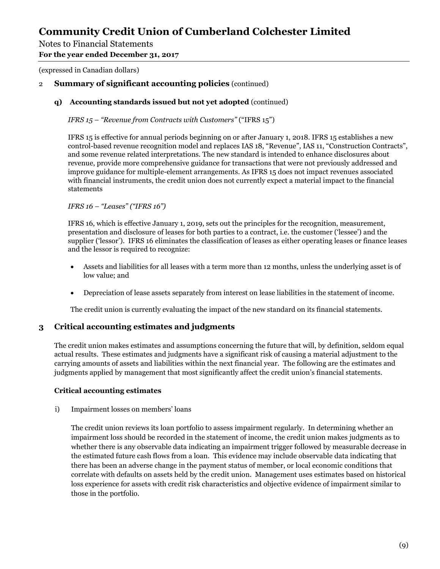Notes to Financial Statements

**For the year ended December 31, 2017** 

(expressed in Canadian dollars)

## 2 **Summary of significant accounting policies** (continued)

#### **q) Accounting standards issued but not yet adopted** (continued)

*IFRS 15 – "Revenue from Contracts with Customers"* ("IFRS 15")

IFRS 15 is effective for annual periods beginning on or after January 1, 2018. IFRS 15 establishes a new control-based revenue recognition model and replaces IAS 18, "Revenue", IAS 11, "Construction Contracts", and some revenue related interpretations. The new standard is intended to enhance disclosures about revenue, provide more comprehensive guidance for transactions that were not previously addressed and improve guidance for multiple-element arrangements. As IFRS 15 does not impact revenues associated with financial instruments, the credit union does not currently expect a material impact to the financial statements

*IFRS 16 – "Leases" ("IFRS 16")*

IFRS 16, which is effective January 1, 2019, sets out the principles for the recognition, measurement, presentation and disclosure of leases for both parties to a contract, i.e. the customer ('lessee') and the supplier ('lessor'). IFRS 16 eliminates the classification of leases as either operating leases or finance leases and the lessor is required to recognize:

- Assets and liabilities for all leases with a term more than 12 months, unless the underlying asset is of low value; and
- Depreciation of lease assets separately from interest on lease liabilities in the statement of income.

The credit union is currently evaluating the impact of the new standard on its financial statements.

### **3 Critical accounting estimates and judgments**

The credit union makes estimates and assumptions concerning the future that will, by definition, seldom equal actual results. These estimates and judgments have a significant risk of causing a material adjustment to the carrying amounts of assets and liabilities within the next financial year. The following are the estimates and judgments applied by management that most significantly affect the credit union's financial statements.

#### **Critical accounting estimates**

i) Impairment losses on members' loans

The credit union reviews its loan portfolio to assess impairment regularly. In determining whether an impairment loss should be recorded in the statement of income, the credit union makes judgments as to whether there is any observable data indicating an impairment trigger followed by measurable decrease in the estimated future cash flows from a loan. This evidence may include observable data indicating that there has been an adverse change in the payment status of member, or local economic conditions that correlate with defaults on assets held by the credit union. Management uses estimates based on historical loss experience for assets with credit risk characteristics and objective evidence of impairment similar to those in the portfolio.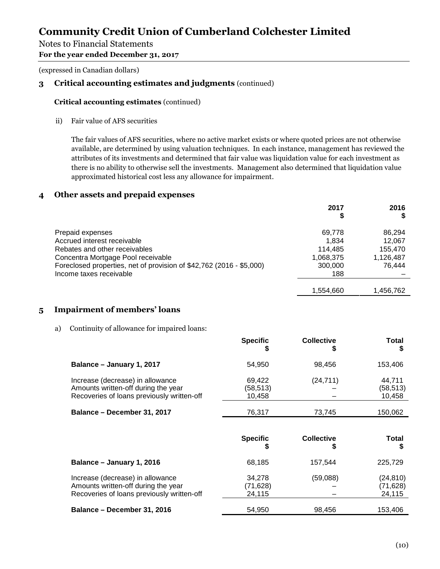## Notes to Financial Statements

**For the year ended December 31, 2017** 

(expressed in Canadian dollars)

# **3 Critical accounting estimates and judgments** (continued)

#### **Critical accounting estimates** (continued)

ii) Fair value of AFS securities

The fair values of AFS securities, where no active market exists or where quoted prices are not otherwise available, are determined by using valuation techniques. In each instance, management has reviewed the attributes of its investments and determined that fair value was liquidation value for each investment as there is no ability to otherwise sell the investments. Management also determined that liquidation value approximated historical cost less any allowance for impairment.

### **4 Other assets and prepaid expenses**

|                                                                      | 2017      | 2016      |
|----------------------------------------------------------------------|-----------|-----------|
|                                                                      | \$        |           |
| Prepaid expenses                                                     | 69,778    | 86,294    |
| Accrued interest receivable                                          | 1.834     | 12,067    |
| Rebates and other receivables                                        | 114.485   | 155,470   |
| Concentra Mortgage Pool receivable                                   | 1,068,375 | 1,126,487 |
| Foreclosed properties, net of provision of \$42,762 (2016 - \$5,000) | 300,000   | 76.444    |
| Income taxes receivable                                              | 188       |           |
|                                                                      |           |           |
|                                                                      | 1,554,660 | 1,456,762 |

### **5 Impairment of members' loans**

a) Continuity of allowance for impaired loans:

|                                                                                                                       | <b>Specific</b>              | COILECTIVE             | <u>i</u> otal<br>S           |
|-----------------------------------------------------------------------------------------------------------------------|------------------------------|------------------------|------------------------------|
| Balance - January 1, 2017                                                                                             | 54,950                       | 98,456                 | 153,406                      |
| Increase (decrease) in allowance<br>Amounts written-off during the year<br>Recoveries of loans previously written-off | 69,422<br>(58,513)<br>10,458 | (24, 711)              | 44,711<br>(58,513)<br>10,458 |
| Balance - December 31, 2017                                                                                           | 76,317                       | 73,745                 | 150,062                      |
|                                                                                                                       |                              |                        |                              |
|                                                                                                                       | <b>Specific</b>              | <b>Collective</b><br>S | <b>Total</b><br>S            |
| Balance - January 1, 2016                                                                                             | 68,185                       | 157,544                | 225,729                      |
| Increase (decrease) in allowance<br>Amounts written-off during the year                                               | 34,278<br>(71, 628)          | (59,088)               | (24, 810)<br>(71, 628)       |
| Recoveries of loans previously written-off                                                                            | 24,115                       |                        | 24,115                       |

**Specific**

**Collective**

**Total**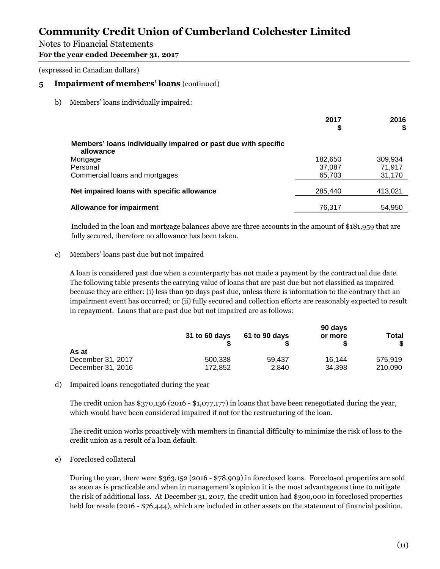## Notes to Financial Statements

**For the year ended December 31, 2017** 

(expressed in Canadian dollars)

## **5 Impairment of members' loans** (continued)

b) Members' loans individually impaired:

|                                                                             | 2017<br>\$ | 2016<br>S |
|-----------------------------------------------------------------------------|------------|-----------|
| Members' loans individually impaired or past due with specific<br>allowance |            |           |
| Mortgage                                                                    | 182,650    | 309,934   |
| Personal                                                                    | 37.087     | 71.917    |
| Commercial loans and mortgages                                              | 65,703     | 31,170    |
| Net impaired loans with specific allowance                                  | 285,440    | 413,021   |
| <b>Allowance for impairment</b>                                             | 76,317     | 54,950    |

Included in the loan and mortgage balances above are three accounts in the amount of \$181,959 that are fully secured, therefore no allowance has been taken.

#### c) Members' loans past due but not impaired

A loan is considered past due when a counterparty has not made a payment by the contractual due date. The following table presents the carrying value of loans that are past due but not classified as impaired because they are either: (i) less than 90 days past due, unless there is information to the contrary that an impairment event has occurred; or (ii) fully secured and collection efforts are reasonably expected to result in repayment. Loans that are past due but not impaired are as follows:

|                   | 31 to 60 days | 61 to 90 days | 90 days<br>or more | Total<br>S. |
|-------------------|---------------|---------------|--------------------|-------------|
| As at             |               |               |                    |             |
| December 31, 2017 | 500.338       | 59.437        | 16.144             | 575.919     |
| December 31, 2016 | 172.852       | 2,840         | 34.398             | 210.090     |

d) Impaired loans renegotiated during the year

The credit union has \$370,136 (2016 - \$1,077,177) in loans that have been renegotiated during the year, which would have been considered impaired if not for the restructuring of the loan.

The credit union works proactively with members in financial difficulty to minimize the risk of loss to the credit union as a result of a loan default.

e) Foreclosed collateral

During the year, there were \$363,152 (2016 - \$78,909) in foreclosed loans. Foreclosed properties are sold as soon as is practicable and when in management's opinion it is the most advantageous time to mitigate the risk of additional loss. At December 31, 2017, the credit union had \$300,000 in foreclosed properties held for resale (2016 - \$76,444), which are included in other assets on the statement of financial position.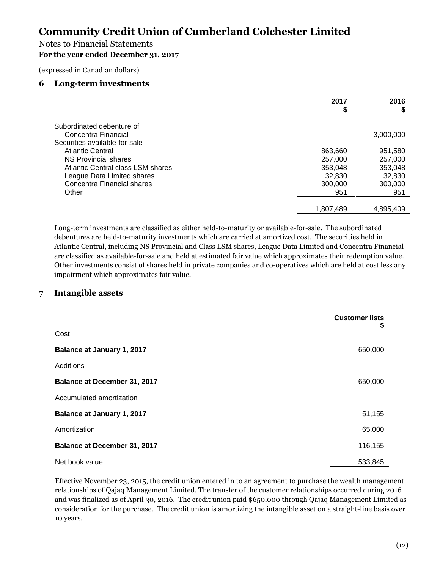### Notes to Financial Statements

**For the year ended December 31, 2017** 

(expressed in Canadian dollars)

#### **6 Long-term investments**

|                                   | 2017<br>\$ | 2016<br>S |
|-----------------------------------|------------|-----------|
| Subordinated debenture of         |            |           |
| Concentra Financial               |            | 3,000,000 |
| Securities available-for-sale     |            |           |
| <b>Atlantic Central</b>           | 863,660    | 951,580   |
| NS Provincial shares              | 257,000    | 257,000   |
| Atlantic Central class LSM shares | 353,048    | 353,048   |
| League Data Limited shares        | 32,830     | 32,830    |
| Concentra Financial shares        | 300,000    | 300,000   |
| Other                             | 951        | 951       |
|                                   |            |           |
|                                   | 1,807,489  | 4,895,409 |

Long-term investments are classified as either held-to-maturity or available-for-sale. The subordinated debentures are held-to-maturity investments which are carried at amortized cost. The securities held in Atlantic Central, including NS Provincial and Class LSM shares, League Data Limited and Concentra Financial are classified as available-for-sale and held at estimated fair value which approximates their redemption value. Other investments consist of shares held in private companies and co-operatives which are held at cost less any impairment which approximates fair value.

### **7 Intangible assets**

|                                   | <b>Customer lists</b><br>\$ |
|-----------------------------------|-----------------------------|
| Cost                              |                             |
| <b>Balance at January 1, 2017</b> | 650,000                     |
| Additions                         |                             |
| Balance at December 31, 2017      | 650,000                     |
| Accumulated amortization          |                             |
| <b>Balance at January 1, 2017</b> | 51,155                      |
| Amortization                      | 65,000                      |
| Balance at December 31, 2017      | 116,155                     |
| Net book value                    | 533,845                     |

Effective November 23, 2015, the credit union entered in to an agreement to purchase the wealth management relationships of Qajaq Management Limited. The transfer of the customer relationships occurred during 2016 and was finalized as of April 30, 2016. The credit union paid \$650,000 through Qajaq Management Limited as consideration for the purchase. The credit union is amortizing the intangible asset on a straight-line basis over 10 years.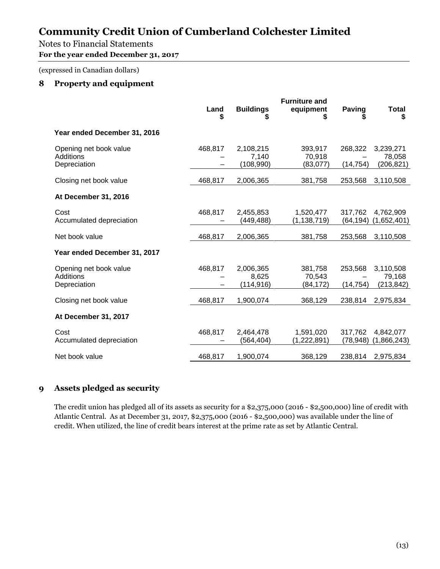# Notes to Financial Statements

**For the year ended December 31, 2017** 

(expressed in Canadian dollars)

# **8 Property and equipment**

|                                                            | Land<br>\$ | <b>Buildings</b>                 | <b>Furniture and</b><br>equipment<br>S | <b>Paving</b>        | <b>Total</b><br>\$                |
|------------------------------------------------------------|------------|----------------------------------|----------------------------------------|----------------------|-----------------------------------|
| Year ended December 31, 2016                               |            |                                  |                                        |                      |                                   |
| Opening net book value<br><b>Additions</b><br>Depreciation | 468,817    | 2,108,215<br>7.140<br>(108, 990) | 393,917<br>70,918<br>(83,077)          | 268,322<br>(14, 754) | 3,239,271<br>78,058<br>(206, 821) |
| Closing net book value                                     | 468,817    | 2,006,365                        | 381,758                                | 253,568              | 3,110,508                         |
| At December 31, 2016                                       |            |                                  |                                        |                      |                                   |
| Cost<br>Accumulated depreciation                           | 468,817    | 2,455,853<br>(449,488)           | 1,520,477<br>(1, 138, 719)             | 317,762<br>(64, 194) | 4,762,909<br>(1,652,401)          |
| Net book value                                             | 468,817    | 2,006,365                        | 381,758                                | 253,568              | 3,110,508                         |
| Year ended December 31, 2017                               |            |                                  |                                        |                      |                                   |
| Opening net book value<br><b>Additions</b><br>Depreciation | 468,817    | 2,006,365<br>8,625<br>(114, 916) | 381,758<br>70,543<br>(84, 172)         | 253,568<br>(14, 754) | 3,110,508<br>79,168<br>(213, 842) |
| Closing net book value                                     | 468,817    | 1,900,074                        | 368,129                                | 238,814              | 2,975,834                         |
| At December 31, 2017                                       |            |                                  |                                        |                      |                                   |
| Cost<br>Accumulated depreciation                           | 468,817    | 2,464,478<br>(564, 404)          | 1,591,020<br>(1,222,891)               | 317,762<br>(78, 948) | 4,842,077<br>(1,866,243)          |
| Net book value                                             | 468,817    | 1,900,074                        | 368,129                                | 238,814              | 2,975,834                         |

# **9 Assets pledged as security**

The credit union has pledged all of its assets as security for a \$2,375,000 (2016 - \$2,500,000) line of credit with Atlantic Central. As at December 31, 2017, \$2,375,000 (2016 - \$2,500,000) was available under the line of credit. When utilized, the line of credit bears interest at the prime rate as set by Atlantic Central.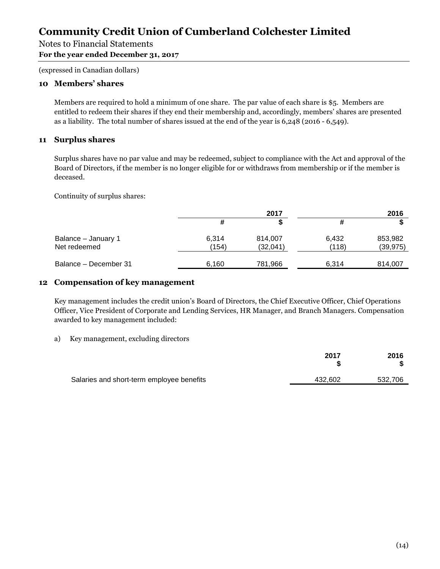# Notes to Financial Statements

**For the year ended December 31, 2017** 

(expressed in Canadian dollars)

#### **10 Members' shares**

Members are required to hold a minimum of one share. The par value of each share is \$5. Members are entitled to redeem their shares if they end their membership and, accordingly, members' shares are presented as a liability. The total number of shares issued at the end of the year is 6,248 (2016 - 6,549).

#### **11 Surplus shares**

Surplus shares have no par value and may be redeemed, subject to compliance with the Act and approval of the Board of Directors, if the member is no longer eligible for or withdraws from membership or if the member is deceased.

Continuity of surplus shares:

|                                     |                | 2017                |                | 2016                 |
|-------------------------------------|----------------|---------------------|----------------|----------------------|
|                                     |                |                     | #              |                      |
| Balance - January 1<br>Net redeemed | 6,314<br>(154) | 814,007<br>(32,041) | 6,432<br>(118) | 853,982<br>(39, 975) |
| Balance – December 31               | 6,160          | 781,966             | 6,314          | 814,007              |

#### **12 Compensation of key management**

Key management includes the credit union's Board of Directors, the Chief Executive Officer, Chief Operations Officer, Vice President of Corporate and Lending Services, HR Manager, and Branch Managers. Compensation awarded to key management included:

#### a) Key management, excluding directors

|                                           | 2017    | 2016    |
|-------------------------------------------|---------|---------|
| Salaries and short-term employee benefits | 432.602 | 532.706 |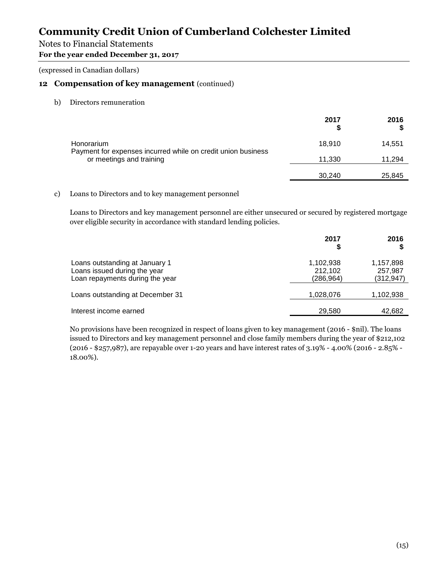## Notes to Financial Statements

**For the year ended December 31, 2017** 

(expressed in Canadian dollars)

### **12 Compensation of key management** (continued)

b) Directors remuneration

|                                                                                          | 2017   | 2016   |
|------------------------------------------------------------------------------------------|--------|--------|
| Honorarium                                                                               | 18.910 | 14,551 |
| Payment for expenses incurred while on credit union business<br>or meetings and training | 11,330 | 11,294 |
|                                                                                          | 30,240 | 25,845 |

c) Loans to Directors and to key management personnel

Loans to Directors and key management personnel are either unsecured or secured by registered mortgage over eligible security in accordance with standard lending policies.

|                                                                                                   | 2017                               | 2016                               |
|---------------------------------------------------------------------------------------------------|------------------------------------|------------------------------------|
| Loans outstanding at January 1<br>Loans issued during the year<br>Loan repayments during the year | 1,102,938<br>212,102<br>(286, 964) | 1,157,898<br>257,987<br>(312, 947) |
| Loans outstanding at December 31                                                                  | 1,028,076                          | 1,102,938                          |
| Interest income earned                                                                            | 29,580                             | 42,682                             |

No provisions have been recognized in respect of loans given to key management (2016 - \$nil). The loans issued to Directors and key management personnel and close family members during the year of \$212,102 (2016 - \$257,987), are repayable over 1-20 years and have interest rates of 3.19% - 4.00% (2016 - 2.85% - 18.00%).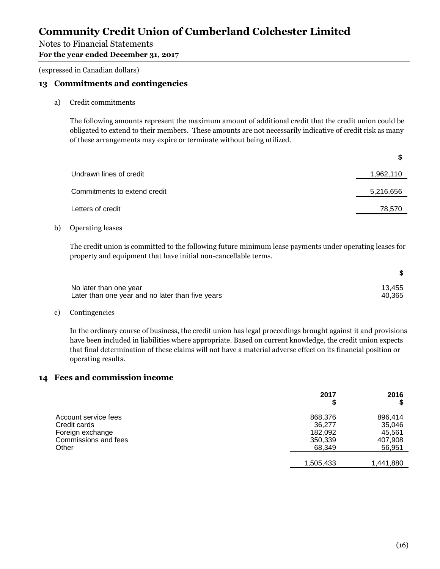## Notes to Financial Statements

**For the year ended December 31, 2017** 

(expressed in Canadian dollars)

### **13 Commitments and contingencies**

a) Credit commitments

The following amounts represent the maximum amount of additional credit that the credit union could be obligated to extend to their members. These amounts are not necessarily indicative of credit risk as many of these arrangements may expire or terminate without being utilized.

| Undrawn lines of credit      | 1,962,110 |
|------------------------------|-----------|
| Commitments to extend credit | 5,216,656 |
| Letters of credit            | 78,570    |
|                              |           |

b) Operating leases

The credit union is committed to the following future minimum lease payments under operating leases for property and equipment that have initial non-cancellable terms.

| No later than one year                           | 13.455 |
|--------------------------------------------------|--------|
| Later than one year and no later than five years | 40.365 |

c) Contingencies

In the ordinary course of business, the credit union has legal proceedings brought against it and provisions have been included in liabilities where appropriate. Based on current knowledge, the credit union expects that final determination of these claims will not have a material adverse effect on its financial position or operating results.

#### **14 Fees and commission income**

|                      | 2017      | 2016<br>œ |
|----------------------|-----------|-----------|
| Account service fees | 868,376   | 896,414   |
| Credit cards         | 36,277    | 35,046    |
| Foreign exchange     | 182,092   | 45,561    |
| Commissions and fees | 350,339   | 407,908   |
| Other                | 68,349    | 56,951    |
|                      | 1,505,433 | 1,441,880 |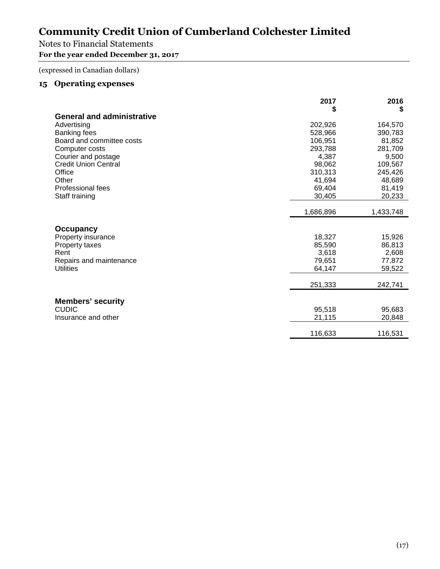# Notes to Financial Statements

# **For the year ended December 31, 2017**

(expressed in Canadian dollars)

# **15 Operating expenses**

|                                   | 2017      | 2016      |
|-----------------------------------|-----------|-----------|
|                                   | \$        | \$        |
| <b>General and administrative</b> |           |           |
| Advertising                       | 202,926   | 164,570   |
| <b>Banking fees</b>               | 528,966   | 390,783   |
| Board and committee costs         | 106,951   | 81,852    |
| Computer costs                    | 293,788   | 281,709   |
| Courier and postage               | 4,387     | 9,500     |
| <b>Credit Union Central</b>       | 98,062    | 109,567   |
| Office                            | 310,313   | 245,426   |
| Other                             | 41,694    | 48,689    |
| Professional fees                 | 69,404    | 81,419    |
| Staff training                    | 30,405    | 20,233    |
|                                   |           |           |
|                                   | 1,686,896 | 1,433,748 |
|                                   |           |           |
| Occupancy                         |           |           |
| Property insurance                | 18,327    | 15,926    |
| Property taxes                    | 85,590    | 86,813    |
| Rent                              | 3,618     | 2,608     |
| Repairs and maintenance           | 79,651    | 77,872    |
| <b>Utilities</b>                  | 64,147    | 59,522    |
|                                   |           |           |
|                                   | 251,333   | 242,741   |
|                                   |           |           |
| <b>Members' security</b>          |           |           |
| <b>CUDIC</b>                      | 95,518    | 95,683    |
| Insurance and other               | 21,115    | 20,848    |
|                                   |           |           |
|                                   | 116,633   | 116,531   |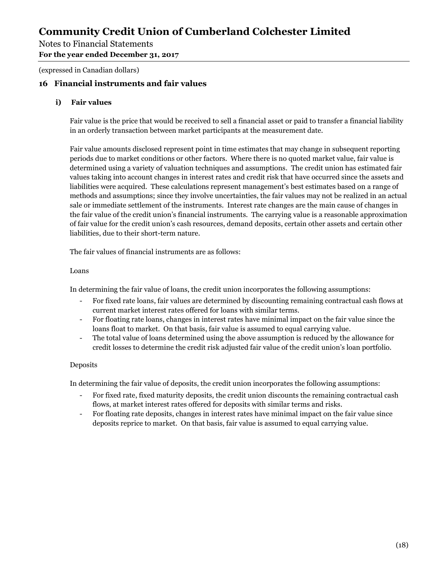Notes to Financial Statements

**For the year ended December 31, 2017** 

(expressed in Canadian dollars)

## **16 Financial instruments and fair values**

#### **i) Fair values**

Fair value is the price that would be received to sell a financial asset or paid to transfer a financial liability in an orderly transaction between market participants at the measurement date.

Fair value amounts disclosed represent point in time estimates that may change in subsequent reporting periods due to market conditions or other factors. Where there is no quoted market value, fair value is determined using a variety of valuation techniques and assumptions. The credit union has estimated fair values taking into account changes in interest rates and credit risk that have occurred since the assets and liabilities were acquired. These calculations represent management's best estimates based on a range of methods and assumptions; since they involve uncertainties, the fair values may not be realized in an actual sale or immediate settlement of the instruments. Interest rate changes are the main cause of changes in the fair value of the credit union's financial instruments. The carrying value is a reasonable approximation of fair value for the credit union's cash resources, demand deposits, certain other assets and certain other liabilities, due to their short-term nature.

The fair values of financial instruments are as follows:

#### Loans

In determining the fair value of loans, the credit union incorporates the following assumptions:

- For fixed rate loans, fair values are determined by discounting remaining contractual cash flows at current market interest rates offered for loans with similar terms.
- For floating rate loans, changes in interest rates have minimal impact on the fair value since the loans float to market. On that basis, fair value is assumed to equal carrying value.
- The total value of loans determined using the above assumption is reduced by the allowance for credit losses to determine the credit risk adjusted fair value of the credit union's loan portfolio.

#### Deposits

In determining the fair value of deposits, the credit union incorporates the following assumptions:

- For fixed rate, fixed maturity deposits, the credit union discounts the remaining contractual cash flows, at market interest rates offered for deposits with similar terms and risks.
- For floating rate deposits, changes in interest rates have minimal impact on the fair value since deposits reprice to market. On that basis, fair value is assumed to equal carrying value.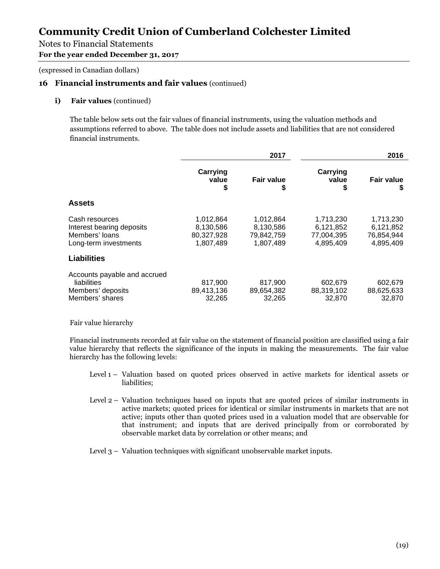# Notes to Financial Statements

**For the year ended December 31, 2017** 

(expressed in Canadian dollars)

### **16 Financial instruments and fair values** (continued)

#### **i)** Fair values (continued)

The table below sets out the fair values of financial instruments, using the valuation methods and assumptions referred to above. The table does not include assets and liabilities that are not considered financial instruments.

|                                                                                            | 2017                                              |                                                   |                                                   | 2016                                              |  |
|--------------------------------------------------------------------------------------------|---------------------------------------------------|---------------------------------------------------|---------------------------------------------------|---------------------------------------------------|--|
|                                                                                            | Carrying<br>value<br>\$                           | <b>Fair value</b><br>S                            | Carrying<br>value<br>S                            | <b>Fair value</b><br>S                            |  |
| <b>Assets</b>                                                                              |                                                   |                                                   |                                                   |                                                   |  |
| Cash resources<br>Interest bearing deposits<br>Members' loans<br>Long-term investments     | 1,012,864<br>8,130,586<br>80,327,928<br>1,807,489 | 1,012,864<br>8,130,586<br>79,842,759<br>1,807,489 | 1,713,230<br>6,121,852<br>77,004,395<br>4,895,409 | 1,713,230<br>6,121,852<br>76,854,944<br>4,895,409 |  |
| <b>Liabilities</b>                                                                         |                                                   |                                                   |                                                   |                                                   |  |
| Accounts payable and accrued<br><b>liabilities</b><br>Members' deposits<br>Members' shares | 817,900<br>89,413,136<br>32,265                   | 817,900<br>89,654,382<br>32,265                   | 602,679<br>88,319,102<br>32,870                   | 602,679<br>88,625,633<br>32,870                   |  |

Fair value hierarchy

Financial instruments recorded at fair value on the statement of financial position are classified using a fair value hierarchy that reflects the significance of the inputs in making the measurements. The fair value hierarchy has the following levels:

- Level 1 Valuation based on quoted prices observed in active markets for identical assets or liabilities;
- Level 2 Valuation techniques based on inputs that are quoted prices of similar instruments in active markets; quoted prices for identical or similar instruments in markets that are not active; inputs other than quoted prices used in a valuation model that are observable for that instrument; and inputs that are derived principally from or corroborated by observable market data by correlation or other means; and
- Level 3 Valuation techniques with significant unobservable market inputs.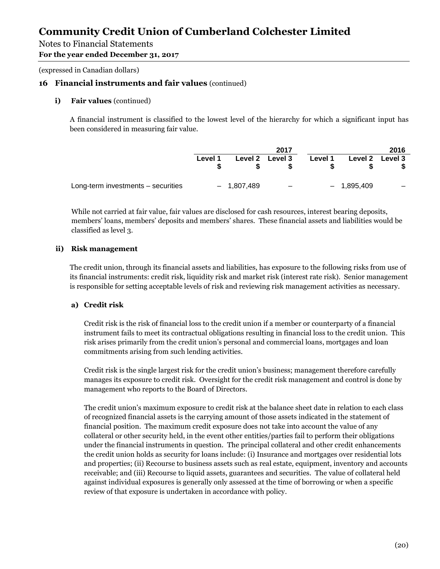# Notes to Financial Statements

**For the year ended December 31, 2017** 

(expressed in Canadian dollars)

### **16 Financial instruments and fair values** (continued)

#### **i)** Fair values (continued)

A financial instrument is classified to the lowest level of the hierarchy for which a significant input has been considered in measuring fair value.

|                                    |         |              | 2017                     |         |              | 2016              |
|------------------------------------|---------|--------------|--------------------------|---------|--------------|-------------------|
|                                    | Level 1 |              | Level 2 Level 3          | Level 1 |              | Level 2 Level 3   |
| Long-term investments - securities |         | $-1,807,489$ | $\overline{\phantom{m}}$ |         | $-1,895,409$ | $\qquad \qquad -$ |

While not carried at fair value, fair values are disclosed for cash resources, interest bearing deposits, members' loans, members' deposits and members' shares. These financial assets and liabilities would be classified as level 3.

#### **ii) Risk management**

The credit union, through its financial assets and liabilities, has exposure to the following risks from use of its financial instruments: credit risk, liquidity risk and market risk (interest rate risk). Senior management is responsible for setting acceptable levels of risk and reviewing risk management activities as necessary.

### **a) Credit risk**

Credit risk is the risk of financial loss to the credit union if a member or counterparty of a financial instrument fails to meet its contractual obligations resulting in financial loss to the credit union. This risk arises primarily from the credit union's personal and commercial loans, mortgages and loan commitments arising from such lending activities.

Credit risk is the single largest risk for the credit union's business; management therefore carefully manages its exposure to credit risk. Oversight for the credit risk management and control is done by management who reports to the Board of Directors.

The credit union's maximum exposure to credit risk at the balance sheet date in relation to each class of recognized financial assets is the carrying amount of those assets indicated in the statement of financial position. The maximum credit exposure does not take into account the value of any collateral or other security held, in the event other entities/parties fail to perform their obligations under the financial instruments in question. The principal collateral and other credit enhancements the credit union holds as security for loans include: (i) Insurance and mortgages over residential lots and properties; (ii) Recourse to business assets such as real estate, equipment, inventory and accounts receivable; and (iii) Recourse to liquid assets, guarantees and securities. The value of collateral held against individual exposures is generally only assessed at the time of borrowing or when a specific review of that exposure is undertaken in accordance with policy.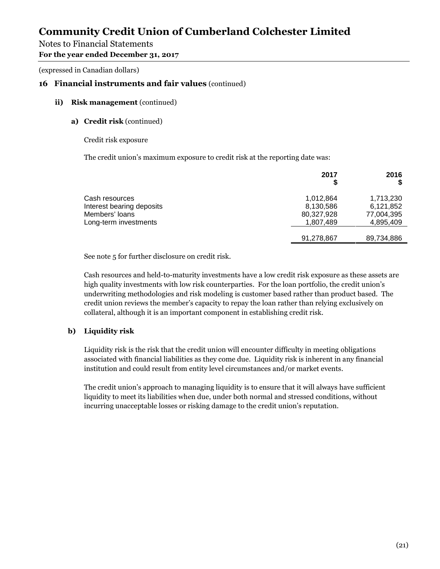### Notes to Financial Statements

**For the year ended December 31, 2017** 

(expressed in Canadian dollars)

### **16 Financial instruments and fair values** (continued)

#### **ii) Risk management** (continued)

#### **a) Credit risk** (continued)

Credit risk exposure

The credit union's maximum exposure to credit risk at the reporting date was:

|                                                                                        | 2017<br>S                                         | 2016                                              |
|----------------------------------------------------------------------------------------|---------------------------------------------------|---------------------------------------------------|
| Cash resources<br>Interest bearing deposits<br>Members' loans<br>Long-term investments | 1.012.864<br>8,130,586<br>80,327,928<br>1,807,489 | 1,713,230<br>6,121,852<br>77,004,395<br>4,895,409 |
|                                                                                        | 91,278,867                                        | 89,734,886                                        |

See note 5 for further disclosure on credit risk.

Cash resources and held-to-maturity investments have a low credit risk exposure as these assets are high quality investments with low risk counterparties. For the loan portfolio, the credit union's underwriting methodologies and risk modeling is customer based rather than product based. The credit union reviews the member's capacity to repay the loan rather than relying exclusively on collateral, although it is an important component in establishing credit risk.

#### **b) Liquidity risk**

Liquidity risk is the risk that the credit union will encounter difficulty in meeting obligations associated with financial liabilities as they come due. Liquidity risk is inherent in any financial institution and could result from entity level circumstances and/or market events.

The credit union's approach to managing liquidity is to ensure that it will always have sufficient liquidity to meet its liabilities when due, under both normal and stressed conditions, without incurring unacceptable losses or risking damage to the credit union's reputation.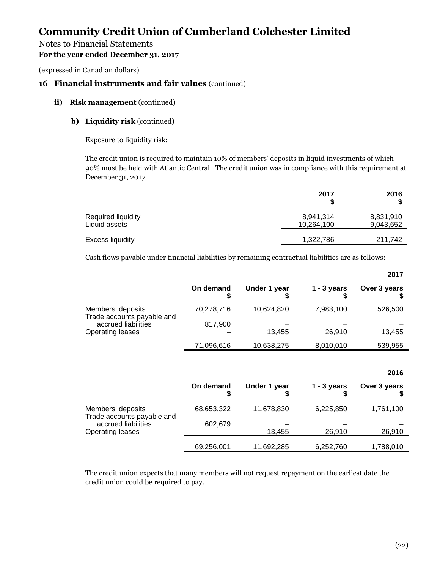### Notes to Financial Statements

#### **For the year ended December 31, 2017**

(expressed in Canadian dollars)

### **16 Financial instruments and fair values** (continued)

#### **ii) Risk management** (continued)

#### **b) Liquidity risk** (continued)

Exposure to liquidity risk:

The credit union is required to maintain 10% of members' deposits in liquid investments of which 90% must be held with Atlantic Central. The credit union was in compliance with this requirement at December 31, 2017.

|                                     | 2017                    | 2016                   |
|-------------------------------------|-------------------------|------------------------|
| Required liquidity<br>Liquid assets | 8,941,314<br>10,264,100 | 8,831,910<br>9,043,652 |
| Excess liquidity                    | 1,322,786               | 211.742                |

Cash flows payable under financial liabilities by remaining contractual liabilities are as follows:

|                                                 |            |              |               | 2017         |
|-------------------------------------------------|------------|--------------|---------------|--------------|
|                                                 | On demand  | Under 1 year | $1 - 3$ years | Over 3 years |
| Members' deposits<br>Trade accounts payable and | 70,278,716 | 10,624,820   | 7,983,100     | 526,500      |
| accrued liabilities                             | 817,900    |              |               |              |
| <b>Operating leases</b>                         |            | 13,455       | 26,910        | 13,455       |
|                                                 | 71,096,616 | 10,638,275   | 8,010,010     | 539,955      |

|                                                                              |            |              |               | 2016         |
|------------------------------------------------------------------------------|------------|--------------|---------------|--------------|
|                                                                              | On demand  | Under 1 year | $1 - 3$ years | Over 3 years |
| Members' deposits                                                            | 68,653,322 | 11,678,830   | 6,225,850     | 1,761,100    |
| Trade accounts payable and<br>accrued liabilities<br><b>Operating leases</b> | 602,679    | 13,455       | 26,910        | 26,910       |
|                                                                              | 69,256,001 | 11,692,285   | 6,252,760     | 1,788,010    |

The credit union expects that many members will not request repayment on the earliest date the credit union could be required to pay.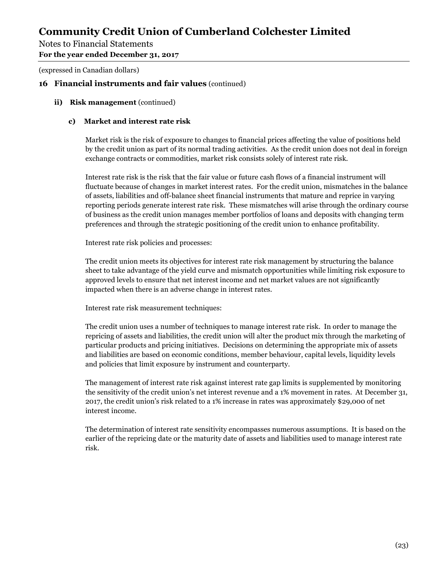### Notes to Financial Statements

**For the year ended December 31, 2017** 

(expressed in Canadian dollars)

### **16 Financial instruments and fair values** (continued)

#### **ii)** Risk management (continued)

#### **c) Market and interest rate risk**

Market risk is the risk of exposure to changes to financial prices affecting the value of positions held by the credit union as part of its normal trading activities. As the credit union does not deal in foreign exchange contracts or commodities, market risk consists solely of interest rate risk.

Interest rate risk is the risk that the fair value or future cash flows of a financial instrument will fluctuate because of changes in market interest rates. For the credit union, mismatches in the balance of assets, liabilities and off-balance sheet financial instruments that mature and reprice in varying reporting periods generate interest rate risk. These mismatches will arise through the ordinary course of business as the credit union manages member portfolios of loans and deposits with changing term preferences and through the strategic positioning of the credit union to enhance profitability.

Interest rate risk policies and processes:

The credit union meets its objectives for interest rate risk management by structuring the balance sheet to take advantage of the yield curve and mismatch opportunities while limiting risk exposure to approved levels to ensure that net interest income and net market values are not significantly impacted when there is an adverse change in interest rates.

Interest rate risk measurement techniques:

The credit union uses a number of techniques to manage interest rate risk. In order to manage the repricing of assets and liabilities, the credit union will alter the product mix through the marketing of particular products and pricing initiatives. Decisions on determining the appropriate mix of assets and liabilities are based on economic conditions, member behaviour, capital levels, liquidity levels and policies that limit exposure by instrument and counterparty.

The management of interest rate risk against interest rate gap limits is supplemented by monitoring the sensitivity of the credit union's net interest revenue and a 1% movement in rates. At December 31, 2017, the credit union's risk related to a 1% increase in rates was approximately \$29,000 of net interest income.

The determination of interest rate sensitivity encompasses numerous assumptions. It is based on the earlier of the repricing date or the maturity date of assets and liabilities used to manage interest rate risk.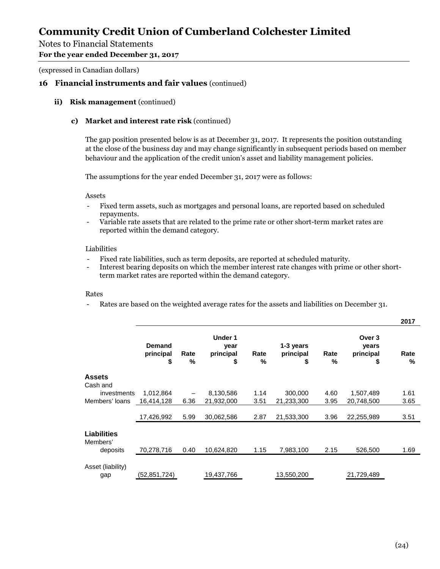### Notes to Financial Statements

#### **For the year ended December 31, 2017**

(expressed in Canadian dollars)

#### **16 Financial instruments and fair values** (continued)

#### **ii)** Risk management (continued)

#### **c) Market and interest rate risk** (continued)

The gap position presented below is as at December 31, 2017. It represents the position outstanding at the close of the business day and may change significantly in subsequent periods based on member behaviour and the application of the credit union's asset and liability management policies.

The assumptions for the year ended December 31, 2017 were as follows:

#### Assets

- Fixed term assets, such as mortgages and personal loans, are reported based on scheduled repayments.
- Variable rate assets that are related to the prime rate or other short-term market rates are reported within the demand category.

#### Liabilities

- Fixed rate liabilities, such as term deposits, are reported at scheduled maturity.
- Interest bearing deposits on which the member interest rate changes with prime or other shortterm market rates are reported within the demand category.

#### Rates

Rates are based on the weighted average rates for the assets and liabilities on December 31.

|                                |                                  |           |                                           |              |                              |              |                                    | 2017      |
|--------------------------------|----------------------------------|-----------|-------------------------------------------|--------------|------------------------------|--------------|------------------------------------|-----------|
|                                | <b>Demand</b><br>principal<br>\$ | Rate<br>% | <b>Under 1</b><br>year<br>principal<br>\$ | Rate<br>$\%$ | 1-3 years<br>principal<br>\$ | Rate<br>$\%$ | Over 3<br>years<br>principal<br>\$ | Rate<br>% |
| <b>Assets</b><br>Cash and      |                                  |           |                                           |              |                              |              |                                    |           |
| investments                    | 1,012,864                        |           | 8,130,586                                 | 1.14         | 300,000                      | 4.60         | 1,507,489                          | 1.61      |
| Members' loans                 | 16,414,128                       | 6.36      | 21,932,000                                | 3.51         | 21,233,300                   | 3.95         | 20,748,500                         | 3.65      |
|                                | 17,426,992                       | 5.99      | 30,062,586                                | 2.87         | 21,533,300                   | 3.96         | 22,255,989                         | 3.51      |
| <b>Liabilities</b><br>Members' |                                  |           |                                           |              |                              |              |                                    |           |
| deposits                       | 70,278,716                       | 0.40      | 10,624,820                                | 1.15         | 7,983,100                    | 2.15         | 526,500                            | 1.69      |
| Asset (liability)              |                                  |           |                                           |              |                              |              |                                    |           |
| gap                            | (52,851,724)                     |           | 19,437,766                                |              | 13,550,200                   |              | 21,729,489                         |           |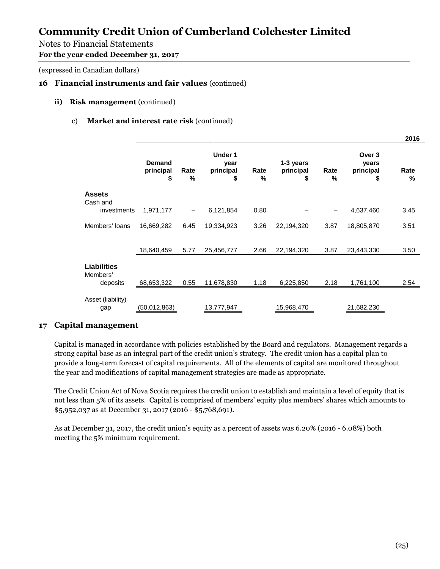# Notes to Financial Statements

**For the year ended December 31, 2017** 

(expressed in Canadian dollars)

# **16 Financial instruments and fair values** (continued)

#### **ii)** Risk management (continued)

### c) **Market and interest rate risk** (continued)

|                                |                                  |                          |                                           |           |                              |              |                                    | 2016      |
|--------------------------------|----------------------------------|--------------------------|-------------------------------------------|-----------|------------------------------|--------------|------------------------------------|-----------|
|                                | <b>Demand</b><br>principal<br>\$ | Rate<br>%                | <b>Under 1</b><br>year<br>principal<br>\$ | Rate<br>% | 1-3 years<br>principal<br>\$ | Rate<br>$\%$ | Over 3<br>years<br>principal<br>\$ | Rate<br>% |
| <b>Assets</b><br>Cash and      |                                  |                          |                                           |           |                              |              |                                    |           |
| investments                    | 1,971,177                        | $\overline{\phantom{m}}$ | 6,121,854                                 | 0.80      |                              |              | 4,637,460                          | 3.45      |
| Members' loans                 | 16,669,282                       | 6.45                     | 19,334,923                                | 3.26      | 22,194,320                   | 3.87         | 18,805,870                         | 3.51      |
|                                |                                  |                          |                                           |           |                              |              |                                    |           |
|                                | 18,640,459                       | 5.77                     | 25,456,777                                | 2.66      | 22,194,320                   | 3.87         | 23,443,330                         | 3.50      |
| <b>Liabilities</b><br>Members' |                                  |                          |                                           |           |                              |              |                                    |           |
| deposits                       | 68,653,322                       | 0.55                     | 11,678,830                                | 1.18      | 6,225,850                    | 2.18         | 1,761,100                          | 2.54      |
| Asset (liability)              | (50,012,863)                     |                          | 13,777,947                                |           | 15,968,470                   |              | 21,682,230                         |           |
| gap                            |                                  |                          |                                           |           |                              |              |                                    |           |

### **17 Capital management**

Capital is managed in accordance with policies established by the Board and regulators. Management regards a strong capital base as an integral part of the credit union's strategy. The credit union has a capital plan to provide a long-term forecast of capital requirements. All of the elements of capital are monitored throughout the year and modifications of capital management strategies are made as appropriate.

The Credit Union Act of Nova Scotia requires the credit union to establish and maintain a level of equity that is not less than 5% of its assets. Capital is comprised of members' equity plus members' shares which amounts to \$5,952,037 as at December 31, 2017 (2016 - \$5,768,691).

As at December 31, 2017, the credit union's equity as a percent of assets was 6.20% (2016 - 6.08%) both meeting the 5% minimum requirement.